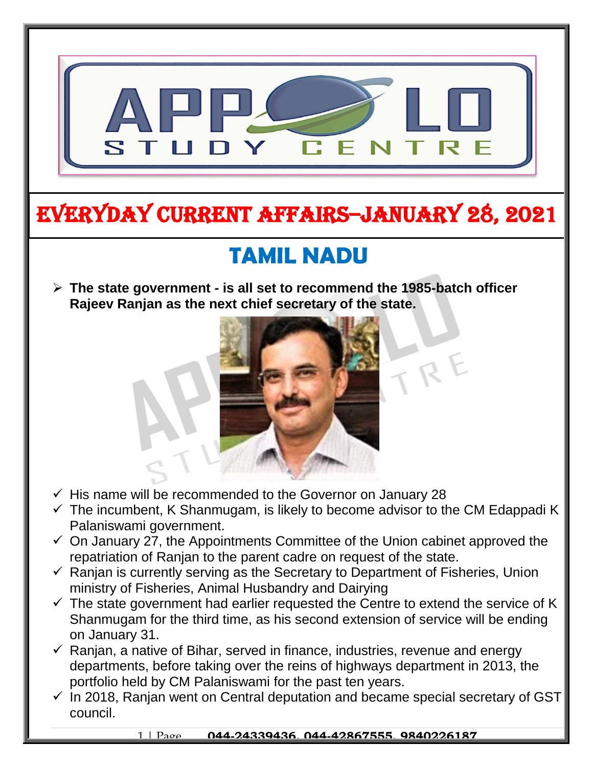

# EVERYDAY CURRENT AFFAIRS–JANUARY 28, 2021

#### **TAMIL NADU**  $\overline{a}$

 **The state government - is all set to recommend the 1985-batch officer Rajeev Ranjan as the next chief secretary of the state.** 

-



- $\checkmark$  His name will be recommended to the Governor on January 28
- $\checkmark$  The incumbent, K Shanmugam, is likely to become advisor to the CM Edappadi K Palaniswami government.
- $\checkmark$  On January 27, the Appointments Committee of the Union cabinet approved the repatriation of Ranjan to the parent cadre on request of the state.
- $\checkmark$  Ranjan is currently serving as the Secretary to Department of Fisheries, Union ministry of Fisheries, Animal Husbandry and Dairying
- $\checkmark$  The state government had earlier requested the Centre to extend the service of K Shanmugam for the third time, as his second extension of service will be ending on January 31.
- $\checkmark$  Ranjan, a native of Bihar, served in finance, industries, revenue and energy departments, before taking over the reins of highways department in 2013, the portfolio held by CM Palaniswami for the past ten years.
- $\checkmark$  In 2018, Ranjan went on Central deputation and became special secretary of GST council.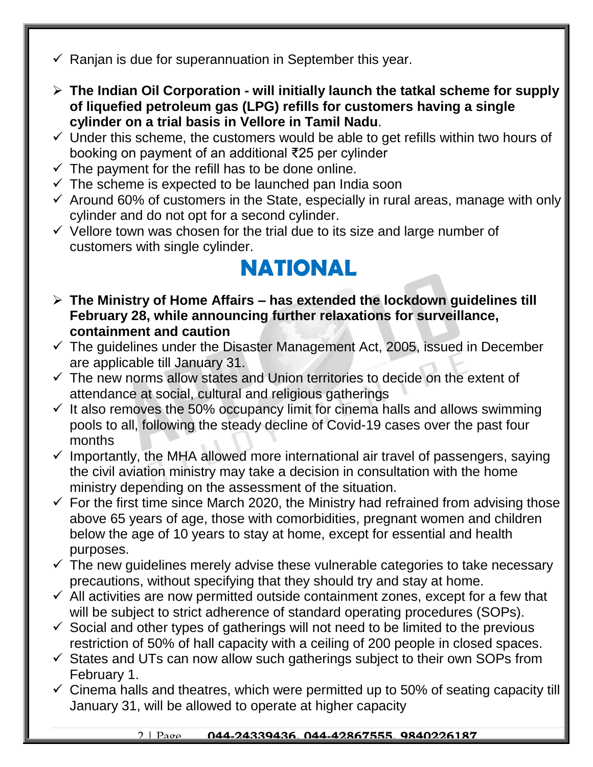- $\checkmark$  Ranjan is due for superannuation in September this year.
- **The Indian Oil Corporation - will initially launch the tatkal scheme for supply of liquefied petroleum gas (LPG) refills for customers having a single cylinder on a trial basis in Vellore in Tamil Nadu**.
- $\checkmark$  Under this scheme, the customers would be able to get refills within two hours of booking on payment of an additional ₹25 per cylinder
- $\checkmark$  The payment for the refill has to be done online.
- $\checkmark$  The scheme is expected to be launched pan India soon
- $\checkmark$  Around 60% of customers in the State, especially in rural areas, manage with only cylinder and do not opt for a second cylinder.
- $\checkmark$  Vellore town was chosen for the trial due to its size and large number of customers with single cylinder.

### **NATIONAL**

- **The Ministry of Home Affairs – has extended the lockdown guidelines till February 28, while announcing further relaxations for surveillance, containment and caution**
- $\checkmark$  The guidelines under the Disaster Management Act, 2005, issued in December are applicable till January 31.
- $\checkmark$  The new norms allow states and Union territories to decide on the extent of attendance at social, cultural and religious gatherings
- $\checkmark$  It also removes the 50% occupancy limit for cinema halls and allows swimming pools to all, following the steady decline of Covid-19 cases over the past four months
- $\checkmark$  Importantly, the MHA allowed more international air travel of passengers, saying the civil aviation ministry may take a decision in consultation with the home ministry depending on the assessment of the situation.
- $\checkmark$  For the first time since March 2020, the Ministry had refrained from advising those above 65 years of age, those with comorbidities, pregnant women and children below the age of 10 years to stay at home, except for essential and health purposes.
- $\checkmark$  The new guidelines merely advise these vulnerable categories to take necessary precautions, without specifying that they should try and stay at home.
- $\checkmark$  All activities are now permitted outside containment zones, except for a few that will be subject to strict adherence of standard operating procedures (SOPs).
- $\checkmark$  Social and other types of gatherings will not need to be limited to the previous restriction of 50% of hall capacity with a ceiling of 200 people in closed spaces.
- $\checkmark$  States and UTs can now allow such gatherings subject to their own SOPs from February 1.
- $\checkmark$  Cinema halls and theatres, which were permitted up to 50% of seating capacity till January 31, will be allowed to operate at higher capacity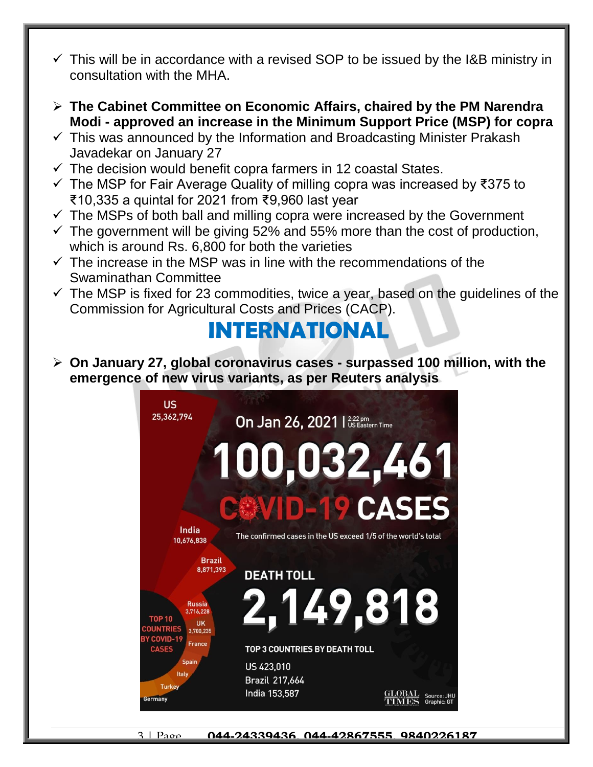- $\checkmark$  This will be in accordance with a revised SOP to be issued by the I&B ministry in consultation with the MHA.
- **The Cabinet Committee on Economic Affairs, chaired by the PM Narendra Modi - approved an increase in the Minimum Support Price (MSP) for copra**
- $\checkmark$  This was announced by the Information and Broadcasting Minister Prakash Javadekar on January 27
- $\checkmark$  The decision would benefit copra farmers in 12 coastal States.
- The MSP for Fair Average Quality of milling copra was increased by ₹375 to ₹10,335 a quintal for 2021 from ₹9,960 last year
- $\checkmark$  The MSPs of both ball and milling copra were increased by the Government
- $\checkmark$  The government will be giving 52% and 55% more than the cost of production, which is around Rs. 6,800 for both the varieties
- $\checkmark$  The increase in the MSP was in line with the recommendations of the Swaminathan Committee
- $\checkmark$  The MSP is fixed for 23 commodities, twice a year, based on the quidelines of the Commission for Agricultural Costs and Prices (CACP).

### **INTERNATIONAL**

 **On January 27, global coronavirus cases - surpassed 100 million, with the emergence of new virus variants, as per Reuters analysis**



3 | Page **044-24339436, 044-42867555, 9840226187**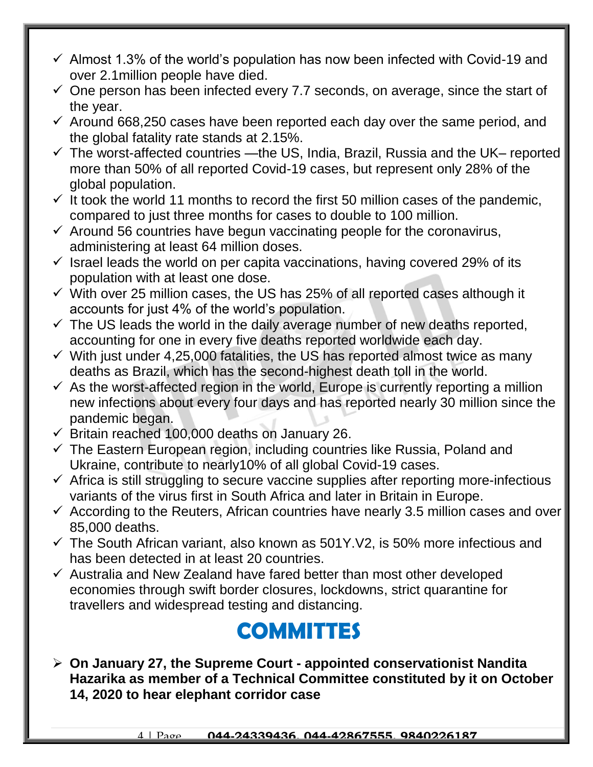- $\checkmark$  Almost 1.3% of the world's population has now been infected with Covid-19 and over 2.1million people have died.
- $\checkmark$  One person has been infected every 7.7 seconds, on average, since the start of the year.
- $\checkmark$  Around 668,250 cases have been reported each day over the same period, and the global fatality rate stands at 2.15%.
- $\checkmark$  The worst-affected countries —the US, India, Brazil, Russia and the UK– reported more than 50% of all reported Covid-19 cases, but represent only 28% of the global population.
- $\checkmark$  It took the world 11 months to record the first 50 million cases of the pandemic, compared to just three months for cases to double to 100 million.
- $\checkmark$  Around 56 countries have begun vaccinating people for the coronavirus, administering at least 64 million doses.
- $\checkmark$  Israel leads the world on per capita vaccinations, having covered 29% of its population with at least one dose.
- $\checkmark$  With over 25 million cases, the US has 25% of all reported cases although it accounts for just 4% of the world's population.
- $\checkmark$  The US leads the world in the daily average number of new deaths reported, accounting for one in every five deaths reported worldwide each day.
- $\checkmark$  With just under 4,25,000 fatalities, the US has reported almost twice as many deaths as Brazil, which has the second-highest death toll in the world.
- $\checkmark$  As the worst-affected region in the world, Europe is currently reporting a million new infections about every four days and has reported nearly 30 million since the pandemic began.
- $\checkmark$  Britain reached 100,000 deaths on January 26.
- $\checkmark$  The Eastern European region, including countries like Russia, Poland and Ukraine, contribute to nearly10% of all global Covid-19 cases.
- $\checkmark$  Africa is still struggling to secure vaccine supplies after reporting more-infectious variants of the virus first in South Africa and later in Britain in Europe.
- $\checkmark$  According to the Reuters, African countries have nearly 3.5 million cases and over 85,000 deaths.
- $\checkmark$  The South African variant, also known as 501Y.V2, is 50% more infectious and has been detected in at least 20 countries.
- $\checkmark$  Australia and New Zealand have fared better than most other developed economies through swift border closures, lockdowns, strict quarantine for travellers and widespread testing and distancing.

### **COMMITTES**

 **On January 27, the Supreme Court - appointed conservationist Nandita Hazarika as member of a Technical Committee constituted by it on October 14, 2020 to hear elephant corridor case**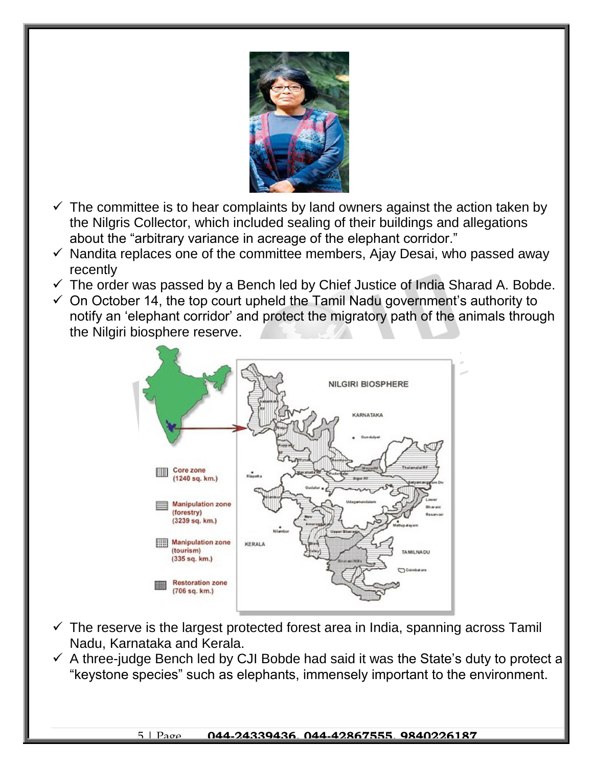

- $\checkmark$  The committee is to hear complaints by land owners against the action taken by the Nilgris Collector, which included sealing of their buildings and allegations about the "arbitrary variance in acreage of the elephant corridor."
- $\checkmark$  Nandita replaces one of the committee members, Ajay Desai, who passed away recently
- $\checkmark$  The order was passed by a Bench led by Chief Justice of India Sharad A. Bobde.
- $\checkmark$  On October 14, the top court upheld the Tamil Nadu government's authority to notify an 'elephant corridor' and protect the migratory path of the animals through the Nilgiri biosphere reserve.



- $\checkmark$  The reserve is the largest protected forest area in India, spanning across Tamil Nadu, Karnataka and Kerala.
- $\checkmark$  A three-judge Bench led by CJI Bobde had said it was the State's duty to protect a "keystone species" such as elephants, immensely important to the environment.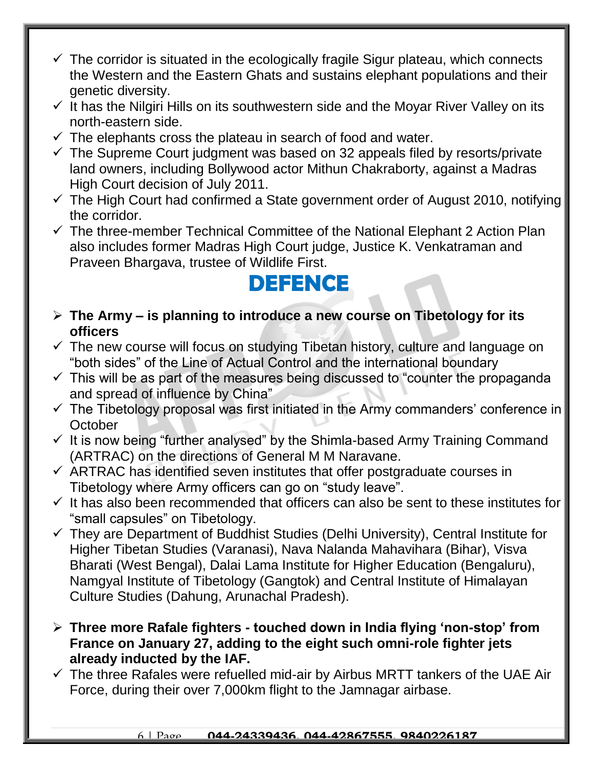- $\checkmark$  The corridor is situated in the ecologically fragile Sigur plateau, which connects the Western and the Eastern Ghats and sustains elephant populations and their genetic diversity.
- $\checkmark$  It has the Nilgiri Hills on its southwestern side and the Moyar River Valley on its north-eastern side.
- $\checkmark$  The elephants cross the plateau in search of food and water.
- $\checkmark$  The Supreme Court judgment was based on 32 appeals filed by resorts/private land owners, including Bollywood actor Mithun Chakraborty, against a Madras High Court decision of July 2011.
- $\checkmark$  The High Court had confirmed a State government order of August 2010, notifying the corridor.
- $\checkmark$  The three-member Technical Committee of the National Elephant 2 Action Plan also includes former Madras High Court judge, Justice K. Venkatraman and Praveen Bhargava, trustee of Wildlife First.

#### **DEFENCE**

- **The Army – is planning to introduce a new course on Tibetology for its officers**
- $\checkmark$  The new course will focus on studying Tibetan history, culture and language on "both sides" of the Line of Actual Control and the international boundary
- $\checkmark$  This will be as part of the measures being discussed to "counter the propaganda" and spread of influence by China"
- $\checkmark$  The Tibetology proposal was first initiated in the Army commanders' conference in **October**
- $\checkmark$  It is now being "further analysed" by the Shimla-based Army Training Command (ARTRAC) on the directions of General M M Naravane.
- $\checkmark$  ARTRAC has identified seven institutes that offer postgraduate courses in Tibetology where Army officers can go on "study leave".
- $\checkmark$  It has also been recommended that officers can also be sent to these institutes for "small capsules" on Tibetology.
- $\checkmark$  They are Department of Buddhist Studies (Delhi University), Central Institute for Higher Tibetan Studies (Varanasi), Nava Nalanda Mahavihara (Bihar), Visva Bharati (West Bengal), Dalai Lama Institute for Higher Education (Bengaluru), Namgyal Institute of Tibetology (Gangtok) and Central Institute of Himalayan Culture Studies (Dahung, Arunachal Pradesh).
- **Three more Rafale fighters - touched down in India flying 'non-stop' from France on January 27, adding to the eight such omni-role fighter jets already inducted by the IAF.**
- $\checkmark$  The three Rafales were refuelled mid-air by Airbus MRTT tankers of the UAE Air Force, during their over 7,000km flight to the Jamnagar airbase.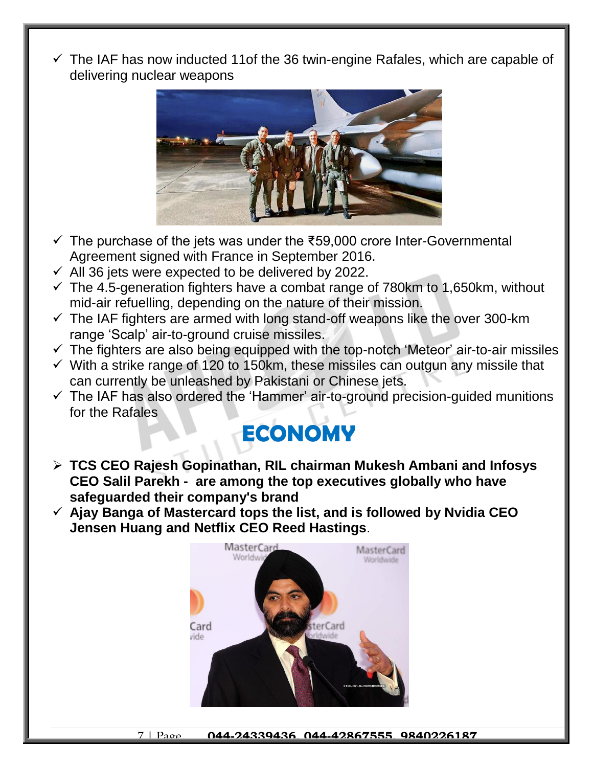$\checkmark$  The IAF has now inducted 11of the 36 twin-engine Rafales, which are capable of delivering nuclear weapons



- $\checkmark$  The purchase of the jets was under the ₹59,000 crore Inter-Governmental Agreement signed with France in September 2016.
- $\checkmark$  All 36 jets were expected to be delivered by 2022.
- $\checkmark$  The 4.5-generation fighters have a combat range of 780km to 1,650km, without mid-air refuelling, depending on the nature of their mission.
- $\checkmark$  The IAF fighters are armed with long stand-off weapons like the over 300-km range 'Scalp' air-to-ground cruise missiles.
- $\checkmark$  The fighters are also being equipped with the top-notch 'Meteor' air-to-air missiles
- $\checkmark$  With a strike range of 120 to 150km, these missiles can outgun any missile that can currently be unleashed by Pakistani or Chinese jets.
- $\checkmark$  The IAF has also ordered the 'Hammer' air-to-ground precision-guided munitions for the Rafales

## **ECONOMY**

- **TCS CEO Rajesh Gopinathan, RIL chairman Mukesh Ambani and Infosys CEO Salil Parekh - are among the top executives globally who have safeguarded their company's brand**
- **Ajay Banga of Mastercard tops the list, and is followed by Nvidia CEO Jensen Huang and Netflix CEO Reed Hastings**.

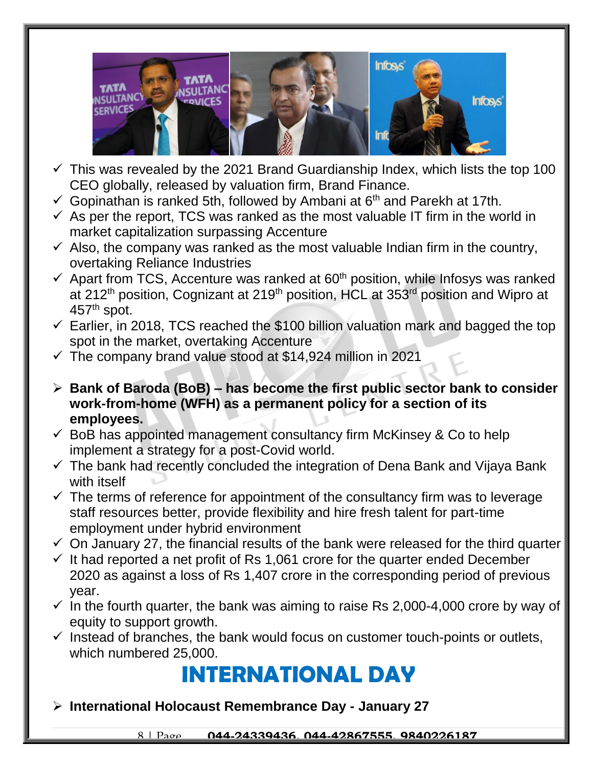

- $\checkmark$  This was revealed by the 2021 Brand Guardianship Index, which lists the top 100 CEO globally, released by valuation firm, Brand Finance.
- Gopinathan is ranked 5th, followed by Ambani at  $6<sup>th</sup>$  and Parekh at 17th.
- $\checkmark$  As per the report, TCS was ranked as the most valuable IT firm in the world in market capitalization surpassing Accenture
- $\checkmark$  Also, the company was ranked as the most valuable Indian firm in the country, overtaking Reliance Industries
- $\checkmark$  Apart from TCS, Accenture was ranked at 60<sup>th</sup> position, while Infosys was ranked at 212<sup>th</sup> position, Cognizant at 219<sup>th</sup> position, HCL at 353<sup>rd</sup> position and Wipro at  $457<sup>th</sup>$  spot.
- $\checkmark$  Earlier, in 2018, TCS reached the \$100 billion valuation mark and bagged the top spot in the market, overtaking Accenture
- $\checkmark$  The company brand value stood at \$14,924 million in 2021
- **Bank of Baroda (BoB) – has become the first public sector bank to consider work-from-home (WFH) as a permanent policy for a section of its employees.**
- $\checkmark$  BoB has appointed management consultancy firm McKinsey & Co to help implement a strategy for a post-Covid world.
- $\checkmark$  The bank had recently concluded the integration of Dena Bank and Vijaya Bank with itself
- $\checkmark$  The terms of reference for appointment of the consultancy firm was to leverage staff resources better, provide flexibility and hire fresh talent for part-time employment under hybrid environment
- $\checkmark$  On January 27, the financial results of the bank were released for the third quarter
- $\checkmark$  It had reported a net profit of Rs 1,061 crore for the quarter ended December 2020 as against a loss of Rs 1,407 crore in the corresponding period of previous year.
- $\checkmark$  In the fourth quarter, the bank was aiming to raise Rs 2,000-4,000 crore by way of equity to support growth.
- $\checkmark$  Instead of branches, the bank would focus on customer touch-points or outlets, which numbered 25,000.

### **INTERNATIONAL DAY**

**International Holocaust Remembrance Day - January 27**